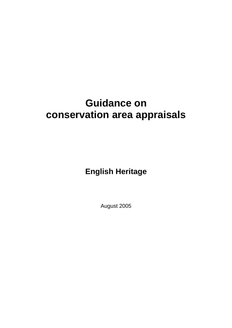# **Guidance on conservation area appraisals**

**English Heritage** 

August 2005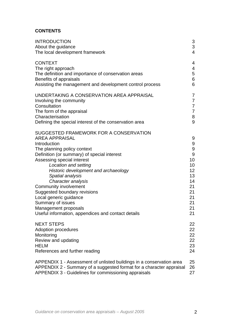# **CONTENTS**

| <b>INTRODUCTION</b>                                                                                                                                                                                                                                                                                                                                                                                                                                                                         | 3                                                                                               |
|---------------------------------------------------------------------------------------------------------------------------------------------------------------------------------------------------------------------------------------------------------------------------------------------------------------------------------------------------------------------------------------------------------------------------------------------------------------------------------------------|-------------------------------------------------------------------------------------------------|
| About the guidance                                                                                                                                                                                                                                                                                                                                                                                                                                                                          | 3                                                                                               |
| The local development framework                                                                                                                                                                                                                                                                                                                                                                                                                                                             | $\overline{\mathbf{4}}$                                                                         |
| <b>CONTEXT</b>                                                                                                                                                                                                                                                                                                                                                                                                                                                                              | 4                                                                                               |
| The right approach                                                                                                                                                                                                                                                                                                                                                                                                                                                                          | 4                                                                                               |
| The definition and importance of conservation areas                                                                                                                                                                                                                                                                                                                                                                                                                                         | 5                                                                                               |
| Benefits of appraisals                                                                                                                                                                                                                                                                                                                                                                                                                                                                      | 6                                                                                               |
| Assisting the management and development control process                                                                                                                                                                                                                                                                                                                                                                                                                                    | 6                                                                                               |
| UNDERTAKING A CONSERVATION AREA APPRAISAL                                                                                                                                                                                                                                                                                                                                                                                                                                                   | 7                                                                                               |
| Involving the community                                                                                                                                                                                                                                                                                                                                                                                                                                                                     | $\overline{7}$                                                                                  |
| Consultation                                                                                                                                                                                                                                                                                                                                                                                                                                                                                | $\overline{7}$                                                                                  |
| The form of the appraisal                                                                                                                                                                                                                                                                                                                                                                                                                                                                   | $\overline{7}$                                                                                  |
| Characterisation                                                                                                                                                                                                                                                                                                                                                                                                                                                                            | $\bf 8$                                                                                         |
| Defining the special interest of the conservation area                                                                                                                                                                                                                                                                                                                                                                                                                                      | 9                                                                                               |
| SUGGESTED FRAMEWORK FOR A CONSERVATION<br><b>AREA APPRAISAL</b><br>Introduction<br>The planning policy context<br>Definition (or summary) of special interest<br>Assessing special interest<br>Location and setting<br>Historic development and archaeology<br>Spatial analysis<br>Character analysis<br>Community involvement<br>Suggested boundary revisions<br>Local generic guidance<br>Summary of issues<br>Management proposals<br>Useful information, appendices and contact details | 9<br>9<br>$\overline{9}$<br>9<br>10<br>10<br>12<br>13<br>14<br>21<br>21<br>21<br>21<br>21<br>21 |
| <b>NEXT STEPS</b>                                                                                                                                                                                                                                                                                                                                                                                                                                                                           | 22                                                                                              |
| Adoption procedures                                                                                                                                                                                                                                                                                                                                                                                                                                                                         | 22                                                                                              |
| Monitoring                                                                                                                                                                                                                                                                                                                                                                                                                                                                                  | 22                                                                                              |
| Review and updating                                                                                                                                                                                                                                                                                                                                                                                                                                                                         | 22                                                                                              |
| <b>HELM</b>                                                                                                                                                                                                                                                                                                                                                                                                                                                                                 | 23                                                                                              |
| References and further reading                                                                                                                                                                                                                                                                                                                                                                                                                                                              | 24                                                                                              |
| APPENDIX 1 - Assessment of unlisted buildings in a conservation area                                                                                                                                                                                                                                                                                                                                                                                                                        | 25                                                                                              |
| APPENDIX 2 - Summary of a suggested format for a character appraisal                                                                                                                                                                                                                                                                                                                                                                                                                        | 26                                                                                              |
| APPENDIX 3 - Guidelines for commissioning appraisals                                                                                                                                                                                                                                                                                                                                                                                                                                        | 27                                                                                              |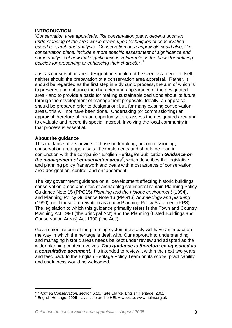# **INTRODUCTION**

'*Conservation area appraisals, like conservation plans, depend upon an understanding of the area which draws upon techniques of conservation based research and analysis. Conservation area appraisals could also, like conservation plans, include a more specific assessment of significance and some analysis of how that significance is vulnerable as the basis for defining policies for preserving or enhancing their character*.['1](#page-2-0)

Just as conservation area designation should not be seen as an end in itself, neither should the preparation of a conservation area appraisal. Rather, it should be regarded as the first step in a dynamic process, the aim of which is to preserve and enhance the character and appearance of the designated area - and to provide a basis for making sustainable decisions about its future through the development of management proposals. Ideally, an appraisal should be prepared prior to designation; but, for many existing conservation areas, this will not have been done. Undertaking (or commissioning) an appraisal therefore offers an opportunity to re-assess the designated area and to evaluate and record its special interest. Involving the local community in that process is essential.

# **About the guidance**

This guidance offers advice to those undertaking, or commissioning, conservation area appraisals. It complements and should be read in conjunction with the companion English Heritage's publication *Guidance on the management of conservation areas[2](#page-2-1)* , which describes the legislative and planning policy framework and deals with most aspects of conservation area designation, control, and enhancement.

The key government guidance on all development affecting historic buildings, conservation areas and sites of archaeological interest remain Planning Policy Guidance Note 15 (PPG15) *Planning and the historic environment* (1994), and Planning Policy Guidance Note 16 (PPG16) *Archaeology and planning*  (1990), until these are rewritten as a new Planning Policy Statement (PPS). The legislation to which this guidance primarily refers is the Town and Country Planning Act 1990 ('the principal Act') and the Planning (Listed Buildings and Conservation Areas) Act 1990 ('the Act').

Government reform of the planning system inevitably will have an impact on the way in which the heritage is dealt with. Our approach to understanding and managing historic areas needs be kept under review and adapted as the wider planning context evolves. *This guidance is therefore being issued as a consultative document*. It is intended to review it within the next two years and feed back to the English Heritage Policy Team on its scope, practicability and usefulness would be welcomed.

<span id="page-2-0"></span><sup>1</sup> *Informed Conservation*, section 6.10, Kate Clarke, English Heritage, 2001

<span id="page-2-1"></span> $2$  English Heritage, 2005 – available on the HELM website: www.helm.org.uk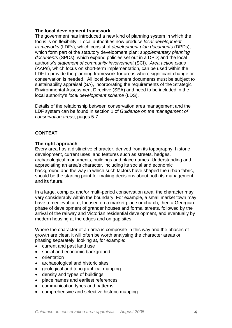# **The local development framework**

The government has introduced a new kind of planning system in which the focus is on flexibility. Local authorities now produce *local development frameworks* (LDFs), which consist of *development plan documents* (DPDs), which form part of the statutory development plan; *supplementary planning documents* (SPDs), which expand policies set out in a DPD; and the local authority's *statement of community involvement* (SCI). *Area action plans* (AAPs), which focus on short-term implementation, can be used within the LDF to provide the planning framework for areas where significant change or conservation is needed. All local development documents must be subject to sustainability appraisal (SA), incorporating the requirements of the Strategic Environmental Assessment Directive (SEA) and need to be included in the local authority's *local development scheme* (LDS).

Details of the relationship between conservation area management and the LDF system can be found in section 1 of *Guidance on the management of conservation areas*, pages 5-7.

# **CONTEXT**

# **The right approach**

Every area has a distinctive character, derived from its topography, historic development, current uses, and features such as streets, hedges, archaeological monuments, buildings and place names. Understanding and appreciating an area's character, including its social and economic background and the way in which such factors have shaped the urban fabric, should be the starting point for making decisions about both its management and its future.

In a large, complex and/or multi-period conservation area, the character may vary considerably within the boundary. For example, a small market town may have a medieval core, focused on a market place or church, then a Georgian phase of development of grander houses and formal streets, followed by the arrival of the railway and Victorian residential development, and eventually by modern housing at the edges and on gap sites.

Where the character of an area is composite in this way and the phases of growth are clear, it will often be worth analysing the character areas or phasing separately, looking at, for example:

- current and past land use
- social and economic background
- orientation
- archaeological and historic sites
- geological and topographical mapping
- density and types of buildings
- place names and earliest references
- communication types and patterns
- comprehensive and selective historic mapping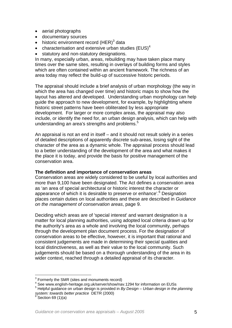- aerial photographs
- documentary sources
- historic environment record  $(HER)^3$  $(HER)^3$  data
- characterisation and extensive urban studies (EUS)<sup>[4](#page-4-1)</sup>
- statutory and non-statutory designations.

In many, especially urban, areas, rebuilding may have taken place many times over the same sites, resulting in overlays of building forms and styles which are often contained within an ancient framework. The richness of an area today may reflect the build-up of successive historic periods.

The appraisal should include a brief analysis of urban morphology (the way in which the area has changed over time) and historic maps to show how the layout has altered and developed. Understanding urban morphology can help guide the approach to new development, for example, by highlighting where historic street patterns have been obliterated by less appropriate development. For larger or more complex areas, the appraisal may also include, or identify the need for, an urban design analysis, which can help with understanding an area's strengths and problems. $5$ 

An appraisal is not an end in itself – and it should not result solely in a series of detailed descriptions of apparently discrete sub-areas, losing sight of the character of the area as a dynamic whole. The appraisal process should lead to a better understanding of the development of the area and what makes it the place it is today, and provide the basis for positive management of the conservation area.

# **The definition and importance of conservation areas**

Conservation areas are widely considered to be useful by local authorities and more than 9,100 have been designated. The Act defines a conservation area as 'an area of special architectural or historic interest the character or appearance of which it is desirable to preserve or enhance'.<sup>[6](#page-4-3)</sup> Designation places certain duties on local authorities and these are described in *Guidance on the management of conservation areas*, page 9.

Deciding which areas are of 'special interest' and warrant designation is a matter for local planning authorities, using adopted local criteria drawn up for the authority's area as a whole and involving the local community, perhaps through the development plan document process. For the designation of conservation areas to be effective, however, it is important that rational and consistent judgements are made in determining their special qualities and local distinctiveness, as well as their value to the local community. Such judgements should be based on a thorough understanding of the area in its wider context, reached through a detailed appraisal of its character.

<sup>-&</sup>lt;br>3

<span id="page-4-1"></span><span id="page-4-0"></span> $^{\rm 3}$  Formerly the SMR (sites and monuments record)<br><sup>4</sup> See [www.english-heritage.org.uk/server/show/nav.1294](http://www.english-heritage.org.uk/server/show/nav.1294) for information on EUSs

<span id="page-4-2"></span><sup>5</sup> Helpful guidance on urban design is provided in *By Design – Urban design in the planning system: towards better practice* DETR (2000)

<span id="page-4-3"></span>Section 69 (1)(a)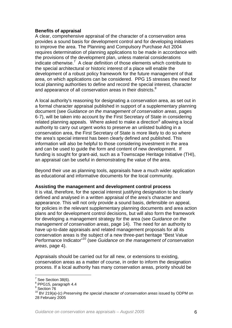# **Benefits of appraisal**

A clear, comprehensive appraisal of the character of a conservation area provides a sound basis for development control and for developing initiatives to improve the area. The Planning and Compulsory Purchase Act 2004 requires determination of planning applications to be made in accordance with the provisions of the development plan, unless material considerations indicate otherwise.<sup>[7](#page-5-0)</sup> A clear definition of those elements which contribute to the special architectural or historic interest of a place will enable the development of a robust policy framework for the future management of that area, on which applications can be considered. PPG 15 stresses the need for local planning authorities to define and record the special interest, character and appearance of all conservation areas in their districts. $8$ 

A local authority's reasoning for designating a conservation area, as set out in a formal character appraisal published in support of a supplementary planning document (see *Guidance on the management of conservation areas*, pages 6-7), will be taken into account by the First Secretary of State in considering related planning appeals. Where asked to make a direction<sup>[9](#page-5-2)</sup> allowing a local authority to carry out urgent works to preserve an unlisted building in a conservation area, the First Secretary of State is more likely to do so where the area's special interest has been clearly defined and published. This information will also be helpful to those considering investment in the area and can be used to guide the form and content of new development. If funding is sought for grant-aid, such as a Townscape Heritage Initiative (THI), an appraisal can be useful in demonstrating the value of the area.

Beyond their use as planning tools, appraisals have a much wider application as educational and informative documents for the local community.

# **Assisting the management and development control process**

It is vital, therefore, for the special interest justifying designation to be clearly defined and analysed in a written appraisal of the area's character and appearance. This will not only provide a sound basis, defensible on appeal, for policies in the relevant supplementary planning documents and area action plans and for development control decisions, but will also form the framework for developing a management strategy for the area (see *Guidance on the management of conservation areas*, page 14). The need for an authority to have up-to-date appraisals and related management proposals for all its conservation areas is the subject of a new three-part heritage "Best Value Performance Indicator["10](#page-5-3) (see *Guidance on the management of conservation areas*, page 4).

Appraisals should be carried out for all new, or extensions to existing, conservation areas as a matter of course, in order to inform the designation process. If a local authority has many conservation areas, priority should be

 $\frac{1}{7}$  $<sup>7</sup>$  See Section 38(6).</sup>

<span id="page-5-1"></span><span id="page-5-0"></span> $8$  PPG15, paragraph 4.4

<span id="page-5-2"></span><sup>&</sup>lt;sup>9</sup> Section 76

<span id="page-5-3"></span><sup>10</sup> BV 219(a)-(c) *Preserving the special character of conservation areas* issued by ODPM on 28 February 2005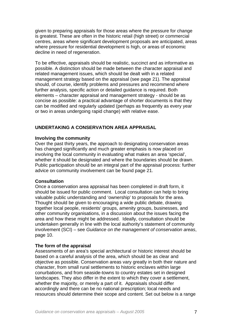given to preparing appraisals for those areas where the pressure for change is greatest. These are often in the historic retail (high street) or commercial centres, areas where significant development proposals are anticipated, areas where pressure for residential development is high, or areas of economic decline in need of regeneration.

To be effective, appraisals should be realistic, succinct and as informative as possible. A distinction should be made between the character appraisal and related management issues, which should be dealt with in a related management strategy based on the appraisal (see page 21). The appraisal should, of course, identify problems and pressures and recommend where further analysis, specific action or detailed guidance is required. Both elements – character appraisal and management strategy - should be as concise as possible: a practical advantage of shorter documents is that they can be modified and regularly updated (perhaps as frequently as every year or two in areas undergoing rapid change) with relative ease.

# **UNDERTAKING A CONSERVATION AREA APPRAISAL**

# **Involving the community**

Over the past thirty years, the approach to designating conservation areas has changed significantly and much greater emphasis is now placed on involving the local community in evaluating what makes an area 'special', whether it should be designated and where the boundaries should be drawn. Public participation should be an integral part of the appraisal process: further advice on community involvement can be found page 21.

#### **Consultation**

Once a conservation area appraisal has been completed in draft form, it should be issued for public comment. Local consultation can help to bring valuable public understanding and 'ownership' to proposals for the area. Thought should be given to encouraging a wide public debate, drawing together local people, residents' groups, amenity groups, businesses, and other community organisations, in a discussion about the issues facing the area and how these might be addressed. Ideally, consultation should be undertaken generally in line with the local authority's statement of community involvement (SCI) – see *Guidance on the management of conservation areas*, page 10.

# **The form of the appraisal**

Assessments of an area's special architectural or historic interest should be based on a careful analysis of the area, which should be as clear and objective as possible. Conservation areas vary greatly in both their nature and character, from small rural settlements to historic enclaves within large conurbations, and from seaside-towns to country estates set in designed landscapes. They also differ in the extent to which they cover a settlement, whether the majority, or merely a part of it. Appraisals should differ accordingly and there can be no national prescription; local needs and resources should determine their scope and content. Set out below is a range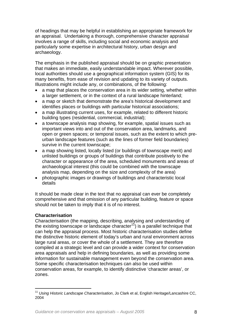of headings that may be helpful in establishing an appropriate framework for an appraisal. Undertaking a thorough, comprehensive character appraisal involves a range of skills, including social and economic analysis and particularly some expertise in architectural history, urban design and archaeology.

The emphasis in the published appraisal should be on graphic presentation that makes an immediate, easily understandable impact. Wherever possible, local authorities should use a geographical information system (GIS) for its many benefits, from ease of revision and updating to its variety of outputs. Illustrations might include any, or combinations, of the following:

- a map that places the conservation area in its wider setting, whether within a larger settlement, or in the context of a rural landscape hinterland;
- a map or sketch that demonstrate the area's historical development and identifies places or buildings with particular historical associations;
- a map illustrating current uses, for example, related to different historic building types (residential, commercial, industrial);
- a townscape analysis map showing, for example, spatial issues such as important views into and out of the conservation area, landmarks, and open or green spaces; or temporal issues, such as the extent to which preurban landscape features (such as the lines of former field boundaries) survive in the current townscape;
- a map showing listed, locally listed (or buildings of townscape merit) and unlisted buildings or groups of buildings that contribute positively to the character or appearance of the area, scheduled monuments and areas of archaeological interest (this could be combined with the townscape analysis map, depending on the size and complexity of the area)
- photographic images or drawings of buildings and characteristic local details

It should be made clear in the text that no appraisal can ever be completely comprehensive and that omission of any particular building, feature or space should not be taken to imply that it is of no interest.

# **Characterisation**

Characterisation (the mapping, describing, analysing and understanding of the existing townscape or landscape character<sup>11</sup>) is a parallel technique that can help the appraisal process. Most historic characterisation studies define the distinctive historic element of today's urban and rural environment across large rural areas, or cover the whole of a settlement. They are therefore compiled at a strategic level and can provide a wider context for conservation area appraisals and help in defining boundaries, as well as providing some information for sustainable management even beyond the conservation area. Some specific characterisation techniques can also be used within conservation areas, for example, to identify distinctive 'character areas', or zones.

<span id="page-7-0"></span><sup>11</sup> *Using Historic Landscape Characterisation*, Jo Clark et al, English Heritage/Lancashire CC, 2004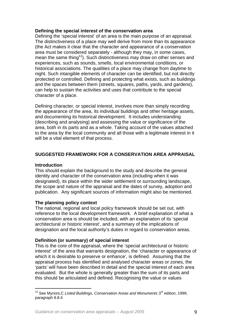# **Defining the special interest of the conservation area**

Defining the 'special interest' of an area is the main purpose of an appraisal. The distinctiveness of a place may well derive from more than its appearance (the Act makes it clear that the character and appearance of a conservation area must be considered separately - although they may, in some cases, mean the same thing<sup>12</sup>). Such distinctiveness may draw on other senses and experiences, such as sounds, smells, local environmental conditions, or historical associations. The qualities of a place may change from daytime to night. Such intangible elements of character can be identified, but not directly protected or controlled. Defining and protecting what exists, such as buildings and the spaces between them (streets, squares, paths, yards, and gardens), can help to sustain the activities and uses that contribute to the special character of a place.

Defining character, or special interest, involves more than simply recording the appearance of the area, its individual buildings and other heritage assets, and documenting its historical development. It includes understanding (describing and analysing) and assessing the value or significance of the area, both in its parts and as a whole. Taking account of the values attached to the area by the local community and all those with a legitimate interest in it will be a vital element of that process.

# **SUGGESTED FRAMEWORK FOR A CONSERVATION AREA APPRAISAL**

# **Introduction**

This should explain the background to the study and describe the general identity and character of the conservation area (including when it was designated), its place within the wider settlement or surrounding landscape, the scope and nature of the appraisal and the dates of survey, adoption and publication. Any significant sources of information might also be mentioned.

# **The planning policy context**

The national, regional and local policy framework should be set out, with reference to the local development framework. A brief explanation of what a conservation area is should be included, with an explanation of its 'special architectural or historic interest', and a summary of the implications of designation and the local authority's duties in regard to conservation areas.

# **Definition (or summary) of special interest**

This is the core of the appraisal, where the 'special architectural or historic interest' of the area that warrants designation, the 'character or appearance of which it is desirable to preserve or enhance', is defined. Assuming that the appraisal process has identified and analysed character areas or zones, the 'parts' will have been described in detail and the special interest of each area evaluated. But the whole is generally greater than the sum of its parts and this should be articulated and defined. Recognising the value or values

<span id="page-8-0"></span><sup>&</sup>lt;sup>12</sup> See Mynors, C *Listed Buildings, Conservation Areas and Monuments* 3<sup>rd</sup> edition, 1999, paragraph 8.8.4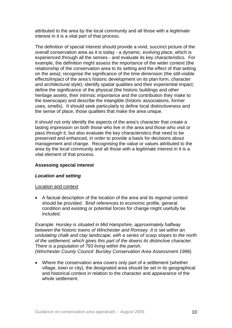attributed to the area by the local community and all those with a legitimate interest in it is a vital part of that process.

The definition of special interest should provide a vivid, succinct picture of the overall conservation area as it is today - a dynamic, evolving place, which is experienced through all the senses - and evaluate its key characteristics. For example, the definition might assess the importance of the wider context (the relationship of the conservation area to its setting and the effect of that setting on the area); recognise the significance of the time dimension (the still-visible effects/impact of the area's historic development on its plan form, character and architectural style); identify spatial qualities and their experiential impact; define the significance of the physical (the historic buildings and other heritage assets, their intrinsic importance and the contribution they make to the townscape) and describe the intangible (historic associations, former uses, smells). It should seek particularly to define local distinctiveness and the sense of place, those qualities that make the area unique.

It should not only identify the aspects of the area's character that create a lasting impression on both those who live in the area and those who visit or pass through it, but also evaluate the key characteristics that need to be preserved and enhanced, in order to provide a basis for decisions about management and change. Recognising the value or values attributed to the area by the local community and all those with a legitimate interest in it is a vital element of that process.

# **Assessing special interest**

# *Location and setting*

# Location and context

• A factual description of the location of the area and its regional context should be provided. Brief references to economic profile, general condition and existing or potential forces for change might usefully be included.

*Example: Hursley is situated in Mid Hampshire, approximately halfway between the historic towns of Winchester and Romsey. It is set within an undulating chalk and clay landscape, with a series of scarp slopes to the north of the settlement, which gives this part of the downs its distinctive character. There is a population of 793 living within the parish. (Winchester County Council: Bursley Conservation Area Assessment 1996*)

• Where the conservation area covers only part of a settlement (whether village, town or city), the designated area should be set in its geographical and historical context in relation to the character and appearance of the whole settlement.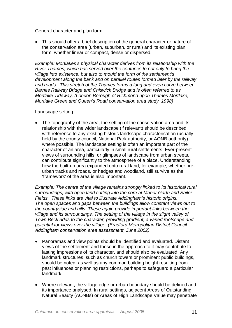# General character and plan form

• This should offer a brief description of the general character or nature of the conservation area (urban, suburban, or rural) and its existing plan form, whether linear or compact, dense or dispersed.

*Example: Mortlakes's physical character derives from its relationship with the River Thames, which has served over the centuries to not only to bring the village into existence, but also to mould the form of the settlement's development along the bank and on parallel routes formed later by the railway and roads. This stretch of the Thames forms a long and even curve between Barnes Railway Bridge and Chiswick Bridge and is often referred to as Mortlake Tideway. (London Borough of Richmond upon Thames Mortlake, Mortlake Green and Queen's Road conservation area study, 1998)* 

#### Landscape setting

• The topography of the area, the setting of the conservation area and its relationship with the wider landscape (if relevant) should be described, with reference to any existing historic landscape characterisation (usually held by the county council, National Park authority, or AONB authority) where possible. The landscape setting is often an important part of the character of an area, particularly in small rural settlements. Ever-present views of surrounding hills, or glimpses of landscape from urban streets, can contribute significantly to the atmosphere of a place. Understanding how the built-up area expanded onto rural land, for example, whether preurban tracks and roads, or hedges and woodland, still survive as the 'framework' of the area is also important.

*Example: The centre of the village remains strongly linked to its historical rural surroundings, with open land cutting into the core at Manor Garth and Sailor Fields. These links are vital to illustrate Addingham's historic origins. The open spaces and gaps between the buildings allow constant views out to the countryside and hills. These again provide important links between the village and its surroundings. The setting of the village in the slight valley of Town Beck adds to the character, providing gradient, a varied roofscape and potential for views over the village. (Bradford Metropolitan District Council: Addingham conservation area assessment, June 2002)*

- Panoramas and view points should be identified and evaluated. Distant views of the settlement and those in the approach to it may contribute to lasting impressions of its character, and should also be evaluated. Any landmark structures, such as church towers or prominent public buildings, should be noted, as well as any common building height resulting from past influences or planning restrictions, perhaps to safeguard a particular landmark.
- Where relevant, the village edge or urban boundary should be defined and its importance analysed. In rural settings, adjacent Areas of Outstanding Natural Beauty (AONBs) or Areas of High Landscape Value may penetrate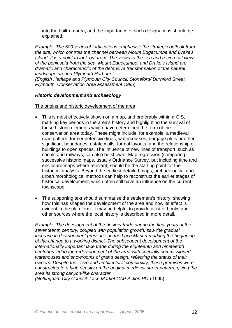into the built-up area, and the importance of such designations should be explained.

*Example: The 500 years of fortifications emphasise the strategic outlook from the site, which controls the channel between Mount Edgecumbe and Drake's Island. It is a point to look out from. The views to the sea and reciprocal views of the peninsula from the sea, Mount Edgecumbe, and Drake's Island are dramatic and characteristic of the defensive transformation of the natural landscape around Plymouth Harbour.* 

*(English Heritage and Plymouth City Council: Stoneford/ Durnford Street, Plymouth, Conservation Area assessment 1995*)

# *Historic development and archaeology*

The origins and historic development of the area

- This is most effectively shown on a map, and preferably within a GIS, marking key periods in the area's history and highlighting the survival of those historic elements which have determined the form of the conservation area today. These might include, for example, a medieval road pattern, former defensive lines, watercourses, burgage plots or other significant boundaries, estate walls, formal layouts, and the relationship of buildings to open spaces. The influence of new lines of transport, such as canals and railways, can also be shown. Map regression (comparing successive historic maps, usually Ordnance Survey, but including tithe and enclosure maps where relevant) should be the starting point for the historical analysis. Beyond the earliest detailed maps, archaeological and urban morphological methods can help to reconstruct the earlier stages of historical development, which often still have an influence on the current townscape.
- The supporting text should summarise the settlement's history, showing how this has shaped the development of the area and how its effect is evident in the plan form. It may be helpful to provide a list of books and other sources where the local history is described in more detail.

*Example: The development of the hosiery trade during the final years of the seventeenth century, coupled with population growth, saw the gradual increase in development pressures in the Lace Market marking the beginning of the change to a working district. The subsequent development of the internationally important lace trade during the eighteenth and nineteenth centuries led to the redevelopment of the area with specially commissioned warehouses and showrooms of grand design, reflecting the status of their owners. Despite their size and architectural complexity, these premises were constructed to a high density on the original medieval street pattern, giving the area its strong canyon-like character.* 

*(Nottingham City Council: Lace Market CAP Action Plan* 1995)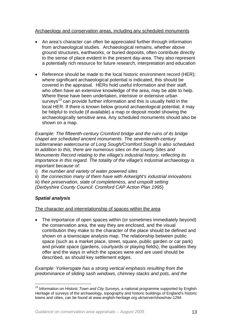# Archaeology and conservation areas, including any scheduled monuments

- An area's character can often be appreciated further through information from archaeological studies. Archaeological remains, whether above ground structures, earthworks, or buried deposits, often contribute directly to the sense of place evident in the present day-area. They also represent a potentially rich resource for future research, interpretation and education
- Reference should be made to the local historic environment record (HER); where significant archaeological potential is indicated, this should be covered in the appraisal. HERs hold useful information and their staff, who often have an extensive knowledge of the area, may be able to help. Where these have been undertaken, intensive or extensive urban surveys<sup>13</sup> can provide further information and this is usually held in the local HER. If there is known below ground archaeological potential, it may be helpful to include (if available) a map or deposit model showing the archaeologically sensitive area. Any scheduled monuments should also be shown on a map.

*Example: The fifteenth-century Cromford bridge and the ruins of its bridge chapel are scheduled ancient monuments. The seventeenth-century subterranean watercourse of Long Sough/Cromford Sough is also scheduled. In addition to this, there are numerous sites on the county Sites and Monuments Record relating to the village's industrial history, reflecting its importance in this regard. The totality of the village's industrial archaeology is important because of:* 

- i) *the number and variety of water powered sites*
- ii) *the connection many of them have with Arkwright's industrial innovations*
- iii) *their preservation, state of completeness, and unspoilt setting (Derbyshire County Council: Cromford CAP Action Plan 1995*)

# *Spatial analysis*

# The character and interrelationship of spaces within the area

• The importance of open spaces within (or sometimes immediately beyond) the conservation area, the way they are enclosed, and the visual contribution they make to the character of the place should be defined and shown on a townscape analysis map. The relationship between public space (such as a market place, street, square, public garden or car park) and private space (gardens, courtyards or playing fields), the qualities they offer and the ways in which the spaces were and are used should be described, as should key settlement edges.

*Example: Yorkersgate has a strong vertical emphasis resulting from the predominance of sliding sash windows, chimney stacks and pots, and the* 

<span id="page-12-0"></span><sup>&</sup>lt;sup>13</sup> Information on *Historic Town and City Surveys*, a national programme supported by English Heritage of surveys of the archaeology, topography and historic buildings of England's historic towns and cities, can be found at www.english-heritage.org.uk/server/show/nav.1294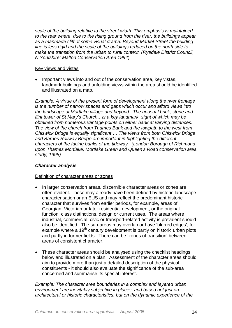*scale of the building relative to the street width. This emphasis is maintained to the rear where, due to the rising ground from the river, the buildings appear as a manmade cliff of some visual drama. Beyond Market Street the building line is less rigid and the scale of the buildings reduced on the north side to make the transition from the urban to rural context. (Ryedale District Council, N Yorkshire: Malton Conservation Area 1994*)

## Key views and vistas

• Important views into and out of the conservation area, key vistas, landmark buildings and unfolding views within the area should be identified and illustrated on a map.

*Example: A virtue of the present form of development along the river frontage is the number of narrow spaces and gaps which occur and afford views into the landscape of Mortlake village and beyond. The unusual brick, stone and flint tower of St Mary's Church…is a key landmark, sight of which may be obtained from numerous vantage points on either bank at varying distances. The view of the church from Thames Bank and the towpath to the west from Chiswick Bridge is equally significant…. The views from both Chiswick Bridge and Barnes Railway Bridge are important in highlighting the different characters of the facing banks of the tideway. (London Borough of Richmond upon Thames Mortlake, Mortlake Green and Queen's Road conservation area study, 1998)* 

# *Character analysis*

# Definition of character areas or zones

- In larger conservation areas, discernible character areas or zones are often evident. These may already have been defined by historic landscape characterisation or an EUS and may reflect the predominant historic character that survives from earlier periods, for example, areas of Georgian, Victorian or later residential development, or the original function, class distinctions, design or current uses. The areas where industrial, commercial, civic or transport-related activity is prevalent should also be identified. The sub-areas may overlap or have 'blurred edges', for example where a  $19<sup>th</sup>$  century development is partly on historic urban plots and partly in former fields. There can be 'zones of transition' between areas of consistent character.
- These character areas should be analysed using the checklist headings below and illustrated on a plan. Assessment of the character areas should aim to provide more than just a detailed description of the physical constituents - it should also evaluate the significance of the sub-area concerned and summarise its special interest.

*Example: The character area boundaries in a complex and layered urban environment are inevitably subjective in places, and based not just on architectural or historic characteristics, but on the dynamic experience of the*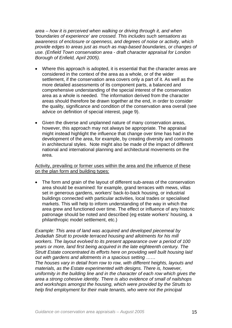*area – how it is perceived when walking or driving through it, and when 'boundaries of experience' are crossed. This includes such sensations as awareness of enclosure or openness, and degrees of noise or activity, which provide edges to areas just as much as map-based boundaries, or changes of use. (Enfield Town conservation area - draft character appraisal for London Borough of Enfield, April 2005).* 

- Where this approach is adopted, it is essential that the character areas are considered in the context of the area as a whole, or of the wider settlement, if the conservation area covers only a part of it. As well as the more detailed assessments of its component parts, a balanced and comprehensive understanding of the special interest of the conservation area as a whole is needed. The information derived from the character areas should therefore be drawn together at the end, in order to consider the quality, significance and condition of the conservation area overall (see advice on definition of special interest, page 9).
- Given the diverse and unplanned nature of many conservation areas, however, this approach may not always be appropriate. The appraisal might instead highlight the influence that change over time has had in the development of the area, for example, by creating diversity and contrasts in architectural styles. Note might also be made of the impact of different national and international planning and architectural movements on the area.

# Activity, prevailing or former uses within the area and the influence of these on the plan form and building types:

• The form and grain of the layout of different sub-areas of the conservation area should be examined: for example, grand terraces with mews, villas set in generous gardens, workers' back-to-back housing, or industrial buildings connected with particular activities, local trades or specialised markets. This will help to inform understanding of the way in which the area grew and functioned over time. The effect or influence of any historic patronage should be noted and described (eg estate workers' housing, a philanthropic model settlement, etc.)

*Example: This area of land was acquired and developed piecemeal by Jedadiah Strutt to provide terraced housing and allotments for his mill workers. The layout evolved to its present appearance over a period of 100 years or more, land first being acquired in the late eighteenth century. The Strutt Estate concentrated its efforts here on providing well built housing laid out with gardens and allotments in a spacious setting* ……

*The houses vary in detail from row to row, with different heights, layouts and materials, as the Estate experimented with designs. There is, however, uniformity in the building line and in the character of each row which gives the area a strong cohesive identity. There is also evidence of small of nailshops and workshops amongst the housing, which were provided by the Strutts to help find employment for their male tenants, who were not the principal*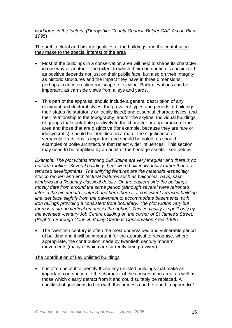# *workforce in the factory. (Derbyshire County Council: Belper CAP Action Plan 1995*)

The architectural and historic qualities of the buildings and the contribution they make to the special interest of the area

- Most of the buildings in a conservation area will help to shape its character in one way or another. The extent to which their contribution is considered as positive depends not just on their public face, but also on their integrity as historic structures and the impact they have in three dimensions, perhaps in an interesting roofscape, or skyline. Back elevations can be important, as can side views from alleys and yards.
- This part of the appraisal should include a general description of any dominant architectural styles, the prevalent types and periods of buildings, their status (ie statutorily or locally listed) and essential characteristics, and their relationship to the topography, and/or the skyline. Individual buildings or groups that contribute positively to the character or appearance of the area and those that are distinctive (for example, because they are rare or idiosyncratic), should be identified on a map. The significance of vernacular traditions is important and should be noted, as should examples of polite architecture that reflect wider influences. This section may need to be amplified by an audit of the heritage assets - see below.

*Example: The plot widths fronting Old Steine are very irregular and there is no uniform roofline. Several buildings here were built individually rather than as terraced developments. The unifying features are the materials -especially stucco render- and architectural features such as balconies, bays, sash windows and Regency classical details. On the eastern side the buildings mostly date from around the same period (although several were refronted later in the nineteenth century) and here there is a consistent terraced building line, set back slightly from the pavement to accommodate basements, with iron railings providing a consistent front boundary. The plot widths vary but there is a strong vertical emphasis throughout. This verticality is spoilt only by the twentieth-century Job Centre building on the corner of St James's Street. (Brighton Borough Council: Valley Gardens Conservation Area 1996*)

• The twentieth century is often the most undervalued and vulnerable period of building and it will be important for the appraisal to recognise, where appropriate, the contribution made by twentieth century modern movements (many of which are currently being revived).

# The contribution of key unlisted buildings

• It is often helpful to identify those key unlisted buildings that make an important contribution to the character of the conservation area, as well as those which clearly detract from it and could suitably be replaced. A checklist of questions to help with this process can be found in appendix 1.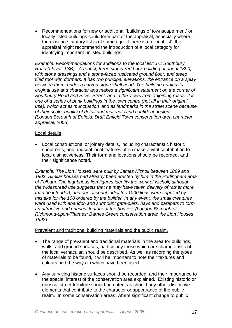• Recommendations for new or additional 'buildings of townscape merit' or locally listed buildings could form part of the appraisal, especially where the existing statutory list is of some age. If there is no 'local list', the appraisal might recommend the introduction of a local category for identifying important unlisted buildings.

*Example: Recommendations for additions to the local list: 1-2 Southbury Road (Lloyds TSB) - A robust, three storey red brick building of about 1890, with stone dressings and a stone-faced rusticated ground floor, and steep tiled roof with dormers. It has two principal elevations, the entrance on a splay between them, under a carved stone shell hood. The building retains its original use and character and makes a significant statement on the corner of Southbury Road and Silver Street, and in the views from adjoining roads. It is one of a series of bank buildings in the town centre (not all in their original use), which act as 'punctuation' and as landmarks in the street scene because of their scale, quality of detail and materials and confident design. (London Borough of Enfield: Draft Enfield Town conservation area character appraisal, 2005)*

#### Local details

• Local constructional or joinery details, including characteristic historic shopfronts, and unusual local features often make a vital contribution to local distinctiveness. Their form and locations should be recorded, and their significance noted.

*Example: The Lion Houses were built by James Nicholl between 1899 and 1903. Similar houses had already been erected by him in the Hurlingham area of Fulham. The lugubrious lion figures identify the work of Nicholl, although the widespread use suggests that he may have taken delivery of rather more than he intended, and one account indicates 1000 lions were supplied by mistake for the 100 ordered by the builder. In any event, the small creatures were used with abandon and surmount gate-piers, bays and parapets to form an attractive and unusual feature of the houses. (London Borough of Richmond-upon-Thames: Barnes Green conservation area: the Lion Houses 1992*)

#### Prevalent and traditional building materials and the public realm.

- The range of prevalent and traditional materials in the area for buildings, walls, and ground surfaces, particularly those which are characteristic of the local vernacular, should be described. As well as recording the types of materials to be found, it will be important to note their textures and colours and the ways in which have been used.
- Any surviving historic surfaces should be recorded, and their importance to the special interest of the conservation area explained. Existing historic or unusual street furniture should be noted, as should any other distinctive elements that contribute to the character or appearance of the public realm. In some conservation areas, where significant change to public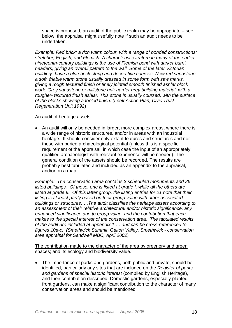space is proposed, an audit of the public realm may be appropriate – see below: the appraisal might usefully note if such an audit needs to be undertaken.

*Example: Red brick: a rich warm colour, with a range of bonded constructions: stretcher, English, and Flemish. A characteristic feature in many of the earlier nineteenth-century buildings is the use of Flemish bond with darker burnt headers, giving an overall pattern to the wall. Some of the later Victorian buildings have a blue brick string and decorative courses. New red sandstone: a soft, friable warm stone usually dressed in some form with saw marks, giving a rough textured finish or finely jointed smooth finished ashlar block work. Grey sandstone or millstone grit: harder grey building material, with a rougher- textured finish ashlar. This stone is usually coursed, with the surface of the blocks showing a tooled finish. (Leek Action Plan, Civic Trust Regeneration Unit 1992*)

#### An audit of heritage assets

• An audit will only be needed in larger, more complex areas, where there is a wide range of historic structures, and/or in areas with an industrial heritage. It should consider only extant features and structures and not those with buried archaeological potential (unless this is a specific requirement of the appraisal, in which case the input of an appropriately qualified archaeologist with relevant experience will be needed). The general condition of the assets should be recorded. The results are probably best tabulated and included as an appendix to the appraisal, and/or on a map.

*Example: The conservation area contains 3 scheduled monuments and 26 listed buildings. Of these, one is listed at grade I, while all the others are listed at grade II. Of this latter group, the listing entries for 21 note that their listing is at least partly based on their group value with other associated buildings or structures…..The audit classifies the heritage assets according to an assessment of their relative architectural and/or historic significance, any enhanced significance due to group value, and the contribution that each makes to the special interest of the conservation area. The tabulated results of the audit are included at appendix 1 … and can be cross-referenced to figures 10a-c. (Smethwick Summit, Galton Valley, Smethwick - conservation area appraisal for Sandwell MBC, April 2002)*

The contribution made to the character of the area by greenery and green spaces; and its ecology and biodiversity value.

• The importance of parks and gardens, both public and private, should be identified, particularly any sites that are included on the *Register of parks and gardens of special historic interest* (compiled by English Heritage), and their contribution described. Domestic gardens, especially planted front gardens, can make a significant contribution to the character of many conservation areas and should be mentioned.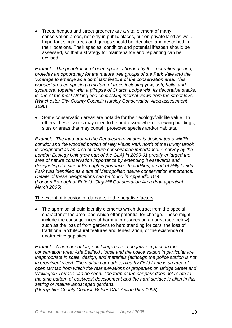• Trees, hedges and street greenery are a vital element of many conservation areas, not only in public places, but on private land as well. Important single trees and groups should be identified and described in their locations. Their species, condition and potential lifespan should be assessed, so that a strategy for maintenance and replanting can be devised.

*Example: The penetration of open space, afforded by the recreation ground, provides an opportunity for the mature tree groups of the Park Vale and the Vicarage to emerge as a dominant feature of the conservation area. This wooded area comprising a mixture of trees including yew, ash, holly, and sycamore, together with a glimpse of Church Lodge with its decorative stacks, is one of the most striking and contrasting internal views from the street level. (Winchester City County Council: Hursley Conservation Area assessment 1996*)

• Some conservation areas are notable for their ecology/wildlife value. In others, these issues may need to be addressed when reviewing buildings, sites or areas that may contain protected species and/or habitats.

*Example: The land around the Rendlesham viaduct is designated a wildlife corridor and the wooded portion of Hilly Fields Park north of theTurkey Brook is designated as an area of nature conservation importance. A survey by the London Ecology Unit (now part of the GLA) in 2000-01 greatly enlarged the area of nature conservation importance by extending it eastwards and designating it a site of Borough importance. In addition, a part of Hilly Fields Park was identified as a site of Metropolitan nature conservation importance. Details of these designations can be found in Appendix 10.4.*  (*London Borough of Enfield: Clay Hill Conservation Area draft appraisal, March 2005*)

The extent of intrusion or damage, ie the negative factors

• The appraisal should identify elements which detract from the special character of the area, and which offer potential for change. These might include the consequences of harmful pressures on an area (see below), such as the loss of front gardens to hard standing for cars, the loss of traditional architectural features and fenestration, or the existence of unattractive gap sites.

*Example: A number of large buildings have a negative impact on the conservation area; Ada Belfield House and the police station in particular are inappropriate in scale, design, and materials (although the police station is not in prominent view). The station car park served by Field Lane is an area of open tarmac from which the rear elevations of properties on Bridge Street and Wellington Terrace can be seen. The form of the car park does not relate to the strip pattern of east/west development and the hard surface is alien in this setting of mature landscaped gardens.* 

*(Derbyshire County Council: Belper CAP Action Plan 1995*)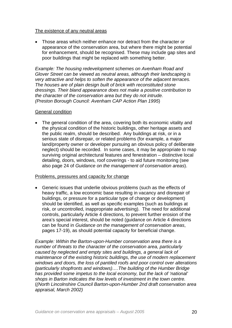# The existence of any neutral areas

• Those areas which neither enhance nor detract from the character or appearance of the conservation area, but where there might be potential for enhancement, should be recognised. These may include gap sites and poor buildings that might be replaced with something better.

*Example: The housing redevelopment schemes on Avenham Road and Glover Street can be viewed as neutral areas, although their landscaping is very attractive and helps to soften the appearance of the adjacent terraces. The houses are of plain design built of brick with reconstituted stone dressings. Their bland appearance does not make a positive contribution to the character of the conservation area but they do not intrude. (Preston Borough Council: Avenham CAP Action Plan 1995*)

#### General condition

• The general condition of the area, covering both its economic vitality and the physical condition of the historic buildings, other heritage assets and the public realm, should be described. Any buildings at risk, or in a serious state of disrepair, or related problems (for example, a major land/property owner or developer pursuing an obvious policy of deliberate neglect) should be recorded. In some cases, it may be appropriate to map surviving original architectural features and fenestration – distinctive local detailing, doors, windows, roof coverings - to aid future monitoring (see also page 24 of *Guidance on the management of conservation areas*).

# Problems, pressures and capacity for change

• Generic issues that underlie obvious problems (such as the effects of heavy traffic, a low economic base resulting in vacancy and disrepair of buildings, or pressure for a particular type of change or development) should be identified, as well as specific examples (such as buildings at risk, or uncontrolled, inappropriate advertising). The need for additional controls, particularly Article 4 directions, to prevent further erosion of the area's special interest, should be noted (guidance on Article 4 directions can be found in *Guidance on the management of conservation areas*, pages 17-19), as should potential capacity for beneficial change.

*Example: Within the Barton-upon-Humber conservation area there is a number of threats to the character of the conservation area, particularly caused by neglected and empty sites and buildings, a general lack of maintenance of the existing historic buildings, the use of modern replacement windows and doors, the loss of pantiled roofs and poor control over alterations (particularly shopfronts and windows)….The building of the Humber Bridge has provided some impetus to the local economy, but the lack of 'national' shops in Barton indicates the low levels of investment in the town centre.*  (*(North Lincolnshire Council Barton-upon-Humber 2nd draft conservation area appraisal, March 2002)*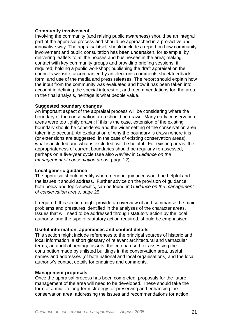# **Community involvement**

Involving the community (and raising public awareness) should be an integral part of the appraisal process and should be approached in a pro-active and innovative way. The appraisal itself should include a report on how community involvement and public consultation has been undertaken, for example; by delivering leaflets to all the houses and businesses in the area; making contact with key community groups and providing briefing sessions, if required; holding a public workshop; publishing the draft appraisal on the council's website, accompanied by an electronic comments sheet/feedback form; and use of the media and press releases. The report should explain how the input from the community was evaluated and how it has been taken into account in defining the special interest of, and recommendations for, the area. In the final analysis, heritage is what people value.

# **Suggested boundary changes**

An important aspect of the appraisal process will be considering where the boundary of the conservation area should be drawn. Many early conservation areas were too tightly drawn; if this is the case, extension of the existing boundary should be considered and the wider setting of the conservation area taken into account. An explanation of why the boundary is drawn where it is (or extensions are suggested, in the case of existing conservation areas), what is included and what is excluded, will be helpful. For existing areas, the appropriateness of current boundaries should be regularly re-assessed, perhaps on a five-year cycle (see also *Review* in *Guidance on the management of conservation areas*, page 12).

# **Local generic guidance**

The appraisal should identify where generic guidance would be helpful and the issues it should address. Further advice on the provision of guidance, both policy and topic-specific, can be found in *Guidance on the management of conservation areas*, page 25.

If required, this section might provide an overview of and summarise the main problems and pressures identified in the analyses of the character areas. Issues that will need to be addressed through statutory action by the local authority, and the type of statutory action required, should be emphasised.

# **Useful information, appendices and contact details**

This section might include references to the principal sources of historic and local information, a short glossary of relevant architectural and vernacular terms, an audit of heritage assets, the criteria used for assessing the contribution made by unlisted buildings in the conservation area, useful names and addresses (of both national and local organisations) and the local authority's contact details for enquiries and comments.

# **Management proposals**

Once the appraisal process has been completed, proposals for the future management of the area will need to be developed. These should take the form of a mid- to long-term strategy for preserving and enhancing the conservation area, addressing the issues and recommendations for action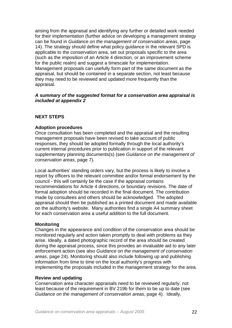arising from the appraisal and identifying any further or detailed work needed for their implementation (further advice on developing a management strategy can be found in *Guidance on the management of conservation areas*, page 14). The strategy should define what policy guidance in the relevant SPD is applicable to the conservation area, set out proposals specific to the area (such as the imposition of an Article 4 direction, or an improvement scheme for the public realm) and suggest a timescale for implementation. Management proposals can usefully form part of the same document as the appraisal, but should be contained in a separate section, not least because they may need to be reviewed and updated more frequently than the appraisal.

## *A summary of the suggested format for a conservation area appraisal is included at appendix 2*

# **NEXT STEPS**

# **Adoption procedures**

Once consultation has been completed and the appraisal and the resulting management proposals have been revised to take account of public responses, they should be adopted formally through the local authority's current internal procedures prior to publication in support of the relevant supplementary planning documents(s) (see *Guidance on the management of conservation areas*, page 7).

Local authorities' standing orders vary, but the process is likely to involve a report by officers to the relevant committee and/or formal endorsement by the council - this will certainly be the case if the appraisal contains recommendations for Article 4 directions, or boundary revisions. The date of formal adoption should be recorded in the final document. The contribution made by consultees and others should be acknowledged. The adopted appraisal should then be published as a printed document and made available on the authority's website. Many authorities find a single A4 summary sheet for each conservation area a useful addition to the full document.

# **Monitoring**

Changes in the appearance and condition of the conservation area should be monitored regularly and action taken promptly to deal with problems as they arise. Ideally, a dated photographic record of the area should be created during the appraisal process, since this provides an invaluable aid to any later enforcement action (see also *Guidance on the management of conservation areas*, page 24). Monitoring should also include following up and publishing information from time to time on the local authority's progress with implementing the proposals included in the management strategy for the area.

#### **Review and updating**

Conservation area character appraisals need to be reviewed regularly, not least because of the requirement in BV 219b for them to be up to date (see *Guidance on the management of conservation areas*, page 4). Ideally,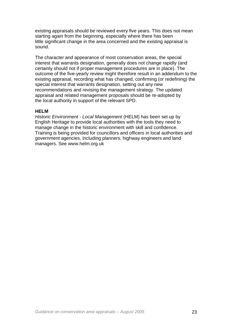existing appraisals should be reviewed every five years. This does not mean starting again from the beginning, especially where there has been little significant change in the area concerned and the existing appraisal is sound.

The character and appearance of most conservation areas, the special interest that warrants designation, generally does not change rapidly (and certainly should not if proper management procedures are in place). The outcome of the five-yearly review might therefore result in an addendum to the existing appraisal, recording what has changed, confirming (or redefining) the special interest that warrants designation, setting out any new recommendations and revising the management strategy. The updated appraisal and related management proposals should be re-adopted by the local authority in support of the relevant SPD.

# **HELM**

*Historic Environment - Local Management* (HELM) has been set up by English Heritage to provide local authorities with the tools they need to manage change in the historic environment with skill and confidence. Training is being provided for councillors and officers in local authorities and government agencies, including planners, highway engineers and land managers. See www.helm.org.uk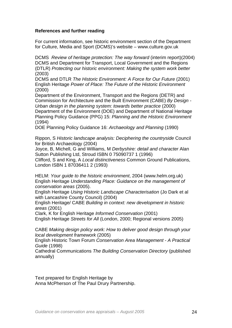# **References and further reading**

For current information, see historic environment section of the Department for Culture, Media and Sport (DCMS)'s website – [www.culture.gov](http://www.culture.gov/).uk

DCMS *Review of heritage protection: The way forward* (interim report)(2004) DCMS and Department for Transport, Local Government and the Regions (DTLR) *Protecting our historic environment: Making the system work better* (2003)

DCMS and DTLR *The Historic Environment: A Force for Our Future* (2001) English Heritage *Power of Place: The Future of the Historic Environment* (2000)

Department of the Environment, Transport and the Regions (DETR) and Commission for Architecture and the Built Environment (CABE) *By Design - Urban design in the planning system: towards better practice* (2000) Department of the Environment (DOE) and Department of National Heritage Planning Policy Guidance (PPG) 15: *Planning and the Historic Environment* (1994)

DOE Planning Policy Guidance 16: *Archaeology and Planning* (1990)

Rippon, S *Historic landscape analysis: Deciphering the countryside* Council for British Archaeology (2004)

Joyce, B, Michell, G and Williams, M *Derbyshire: detail and character* Alan Sutton Publishing Ltd, Stroud ISBN 0 75090737 1 (1996)

Clifford, S and King, A *Local distinctiveness* Common Ground Publications, London ISBN 1 87036411 2 (1993)

HELM: *Your guide to the historic environment*, 2004 (www.helm.org.uk) English Heritage *Understanding Place: Guidance on the management of conservation areas* (2005).

English Heritage *Using Historic Landscape Characterisation* (Jo Dark et al with Lancashire County Council) (2004)

English Heritage/ CABE *Building in context: new development in historic areas* (2001)

Clark, K for English Heritage *Informed Conservation* (2001)

English Heritage *Streets for All* (London, 2000; Regional versions 2005)

CABE *Making design policy work: How to deliver good design through your local development framework* (2005)

English Historic Town Forum *Conservation Area Management - A Practical Guide* (1998)

Cathedral Communications *The Building Conservation Directory* (published annually)

Text prepared for English Heritage by Anna McPherson of The Paul Drury Partnership.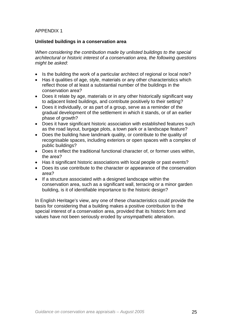# APPENDIX 1

#### **Unlisted buildings in a conservation area**

*When considering the contribution made by unlisted buildings to the special architectural or historic interest of a conservation area, the following questions might be asked*:

- Is the building the work of a particular architect of regional or local note?
- Has it qualities of age, style, materials or any other characteristics which reflect those of at least a substantial number of the buildings in the conservation area?
- Does it relate by age, materials or in any other historically significant way to adjacent listed buildings, and contribute positively to their setting?
- Does it individually, or as part of a group, serve as a reminder of the gradual development of the settlement in which it stands, or of an earlier phase of growth?
- Does it have significant historic association with established features such as the road layout, burgage plots, a town park or a landscape feature?
- Does the building have landmark quality, or contribute to the quality of recognisable spaces, including exteriors or open spaces with a complex of public buildings?
- Does it reflect the traditional functional character of, or former uses within, the area?
- Has it significant historic associations with local people or past events?
- Does its use contribute to the character or appearance of the conservation area?
- If a structure associated with a designed landscape within the conservation area, such as a significant wall, terracing or a minor garden building, is it of identifiable importance to the historic design?

In English Heritage's view, any one of these characteristics could provide the basis for considering that a building makes a positive contribution to the special interest of a conservation area, provided that its historic form and values have not been seriously eroded by unsympathetic alteration.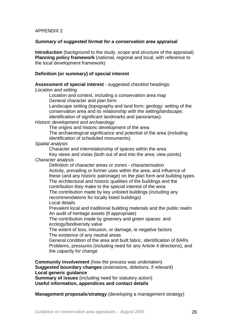# APPENDIX 2

#### *Summary of suggested format for a conservation area appraisal*

**Introduction** (background to the study, scope and structure of the appraisal) **Planning policy framework** (national, regional and local, with reference to the local development framework)

## **Definition (or summary) of special interest**

**Assessment of special interest** - suggested checklist headings:

*Location and setting* 

Location and context, including a conservation area map General character and plan form

Landscape setting (topography and land form; geology; setting of the conservation area and its relationship with the setting/landscape; identification of significant landmarks and panoramas).

#### *Historic development and archaeology*

The origins and historic development of the area

The archaeological significance and potential of the area (including identification of scheduled monuments).

*Spatial analysis* 

Character and interrelationship of spaces within the area Key views and vistas (both out of and into the area; view points)

*Character analysis* 

Definition of character areas or zones - characterisation Activity, prevailing or former uses within the area, and influence of these (and any historic patronage) on the plan form and building types The architectural and historic qualities of the buildings and the contribution they make to the special interest of the area The contribution made by key unlisted buildings (including any recommendations for locally listed buildings)

Local details

Prevalent local and traditional building materials and the public realm An audit of heritage assets (if appropriate)

The contribution made by greenery and green spaces: and ecology/biodiversity value

The extent of loss, intrusion, or damage, ie negative factors The existence of any neutral areas

General condition of the area and built fabric, identification of BARs Problems, pressures (including need for any Article 4 directions), and the capacity for change

**Community involvement** (how the process was undertaken) **Suggested boundary changes** (extensions, deletions, if relevant) **Local generic guidance** 

**Summary of issues** (including need for statutory action) **Useful information, appendices and contact details** 

**Management proposals**/**strategy** (developing a management strategy)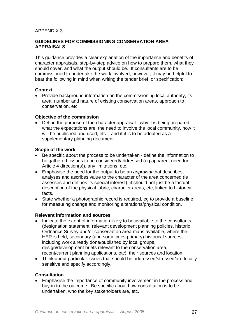# APPENDIX 3

# **GUIDELINES FOR COMMISSIONING CONSERVATION AREA APPRAISALS**

This guidance provides a clear explanation of the importance and benefits of character appraisals, step-by-step advice on how to prepare them, what they should cover, and what the output should be. If consultants are to be commissioned to undertake the work involved, however, it may be helpful to bear the following in mind when writing the tender brief, or specification:

#### **Context**

• Provide background information on the commissioning local authority, its area, number and nature of existing conservation areas, approach to conservation, etc.

#### **Objective of the commission**

• Define the purpose of the character appraisal - why it is being prepared, what the expectations are, the need to involve the local community, how it will be published and used, etc – and if it is to be adopted as a supplementary planning document.

#### **Scope of the work**

- Be specific about the process to be undertaken define the information to be gathered, issues to be considered/addressed (eg apparent need for Article 4 direction(s)), any limitations, etc.
- Emphasise the need for the output to be an *appraisal* that describes, analyses and ascribes value to the character of the area concerned (ie assesses and defines its special interest): it should not just be a factual description of the physical fabric, character areas, etc, linked to historical facts.
- State whether a photographic record is required, eg to provide a baseline for measuring change and monitoring alterations/physical condition.

# **Relevant information and sources**

- Indicate the extent of information likely to be available to the consultants (designation statement, relevant development planning policies, historic Ordnance Survey and/or conservation area maps available, where the HER is held, secondary (and sometimes primary) historical sources, including work already done/published by local groups, design/development briefs relevant to the conservation area, recent/current planning applications, etc), their sources and location.
- Think about particular issues that should be addressed/stressed/are locally sensitive and specify accordingly.

# **Consultation**

• Emphasise the importance of community involvement in the process and buy-in to the outcome. Be specific about how consultation is to be undertaken, who the key stakeholders are, etc.